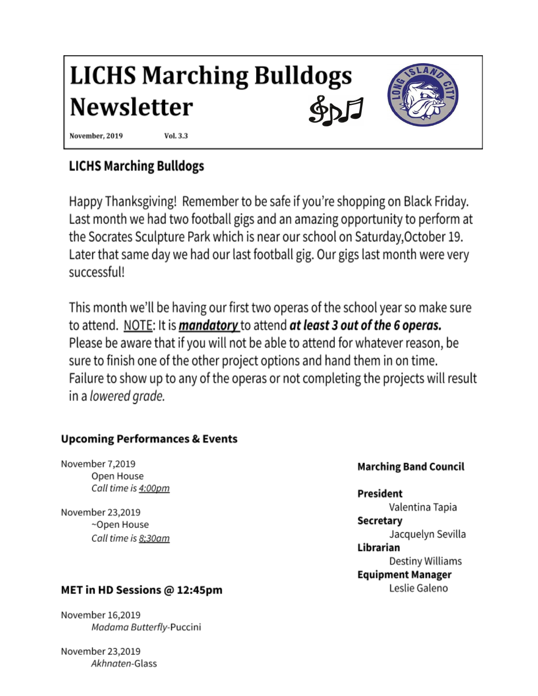# **LICHS Marching Bulldogs Newsletter**



November, 2019

**Vol. 3.3** 

# **LICHS Marching Bulldogs**

Happy Thanksgiving! Remember to be safe if you're shopping on Black Friday. Last month we had two football gigs and an amazing opportunity to perform at the Socrates Sculpture Park which is near our school on Saturday, October 19. Later that same day we had our last football gig. Our gigs last month were very successful!

This month we'll be having our first two operas of the school year so make sure to attend. NOTE: It is *mandatory* to attend at least 3 out of the 6 operas. Please be aware that if you will not be able to attend for whatever reason, be sure to finish one of the other project options and hand them in on time. Failure to show up to any of the operas or not completing the projects will result in a lowered grade.

## **Upcoming Performances & Events**

November 7,2019 Open House Call time is 4:00pm

November 23,2019 ~Open House Call time is 8;30am

### MET in HD Sessions @ 12:45pm

November 16.2019 Madama Butterfly-Puccini

November 23,2019 Akhnaten-Glass

### **Marching Band Council**

### **President**

Valentina Tapia Secretary Jacquelyn Sevilla Librarian Destiny Williams **Equipment Manager** Leslie Galeno